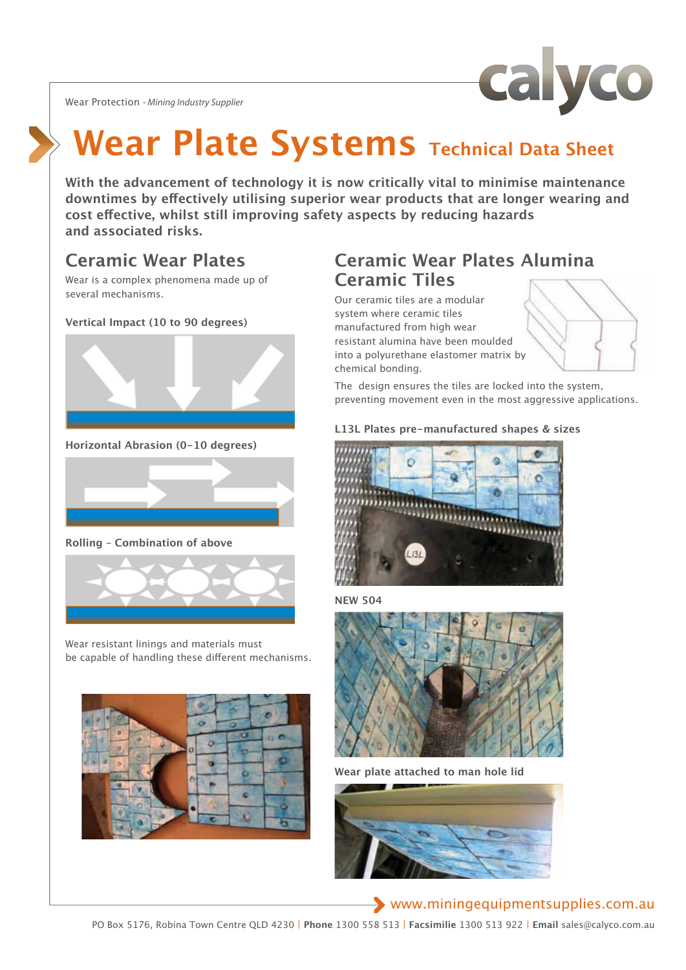Wear Protection *- Mining Industry Supplier*



# **Wear Plate Systems** Technical Data Sheet

**With the advancement of technology it is now critically vital to minimise maintenance downtimes by effectively utilising superior wear products that are longer wearing and cost effective, whilst still improving safety aspects by reducing hazards and associated risks.** 

## **Ceramic Wear Plates**

Wear is a complex phenomena made up of several mechanisms.

### **Vertical Impact (10 to 90 degrees)**



**Horizontal Abrasion (0-10 degrees)** 



**Rolling – Combination of above** 



Wear resistant linings and materials must be capable of handling these different mechanisms.



## **Ceramic Wear Plates Alumina Ceramic Tiles**

Our ceramic tiles are a modular system where ceramic tiles manufactured from high wear resistant alumina have been moulded into a polyurethane elastomer matrix by chemical bonding.

The design ensures the tiles are locked into the system, preventing movement even in the most aggressive applications.

### **L13L Plates pre-manufactured shapes & sizes**







**Wear plate attached to man hole lid**



### www.miningequipmentsupplies.com.au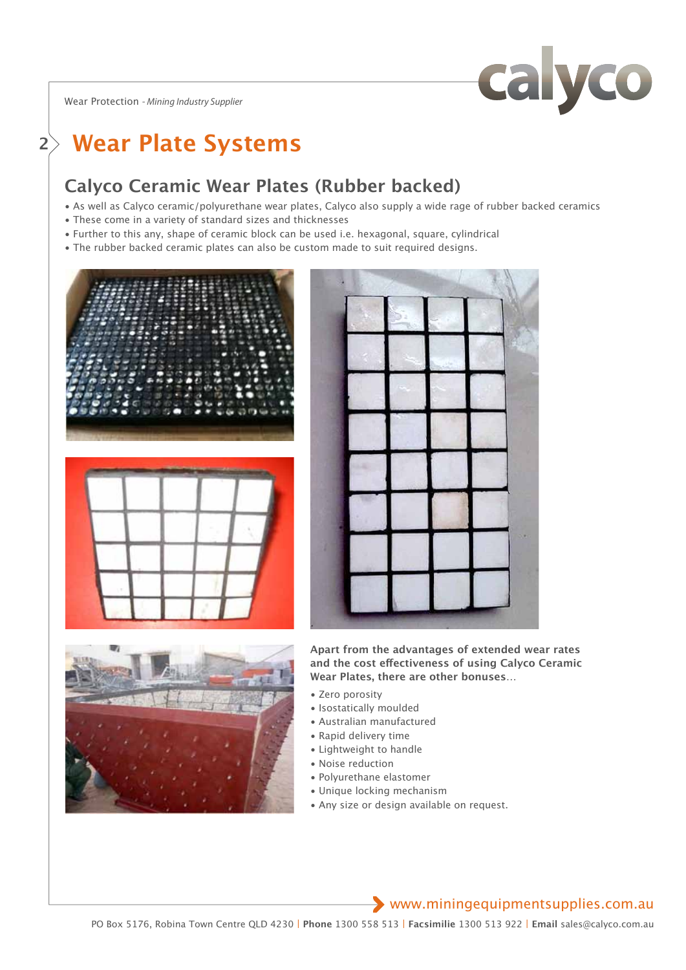Wear Protection *- Mining Industry Supplier*



## **<sup>2</sup> Wear Plate Systems**

## **Calyco Ceramic Wear Plates (Rubber backed)**

- As well as Calyco ceramic/polyurethane wear plates, Calyco also supply a wide rage of rubber backed ceramics
- These come in a variety of standard sizes and thicknesses
- Further to this any, shape of ceramic block can be used i.e. hexagonal, square, cylindrical
- The rubber backed ceramic plates can also be custom made to suit required designs.









**Apart from the advantages of extended wear rates and the cost effectiveness of using Calyco Ceramic Wear Plates, there are other bonuses…** 

- Zero porosity
- Isostatically moulded
- Australian manufactured
- Rapid delivery time
- Lightweight to handle
- Noise reduction
- Polyurethane elastomer
- Unique locking mechanism
- Any size or design available on request.

### www.miningequipmentsupplies.com.au